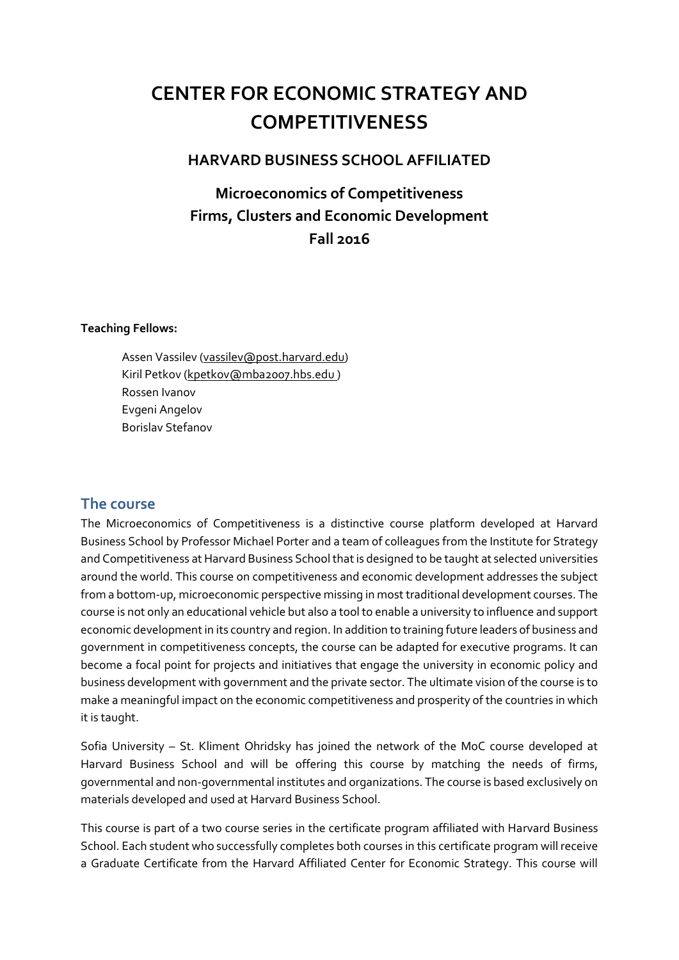# **CENTER FOR ECONOMIC STRATEGY AND COMPETITIVENESS**

## **HARVARD BUSINESS SCHOOL AFFILIATED**

## **Microeconomics of Competitiveness Firms, Clusters and Economic Development Fall 2016**

#### **Teaching Fellows:**

Assen Vassilev (vassilev@post.harvard.edu) Kiril Petkov (kpetkov@mba2007.hbs.edu ) Rossen Ivanov Evgeni Angelov Borislav Stefanov

### <span id="page-0-0"></span>**The course**

The Microeconomics of Competitiveness is a distinctive course platform developed at Harvard Business School by Professor Michael Porter and a team of colleagues from the Institute for Strategy and Competitiveness at Harvard Business School that is designed to be taught at selected universities around the world. This course on competitiveness and economic development addresses the subject from a bottom-up, microeconomic perspective missing in most traditional development courses. The course is not only an educational vehicle but also a tool to enable a university to influence and support economic development in its country and region. In addition to training future leaders of business and government in competitiveness concepts, the course can be adapted for executive programs. It can become a focal point for projects and initiatives that engage the university in economic policy and business development with government and the private sector. The ultimate vision of the course is to make a meaningful impact on the economic competitiveness and prosperity of the countries in which it is taught.

Sofia University – St. Kliment Ohridsky has joined the network of the MoC course developed at Harvard Business School and will be offering this course by matching the needs of firms, governmental and non-governmental institutes and organizations. The course is based exclusively on materials developed and used at Harvard Business School.

This course is part of a two course series in the certificate program affiliated with Harvard Business School. Each student who successfully completes both courses in this certificate program will receive a Graduate Certificate from the Harvard Affiliated Center for Economic Strategy. This course will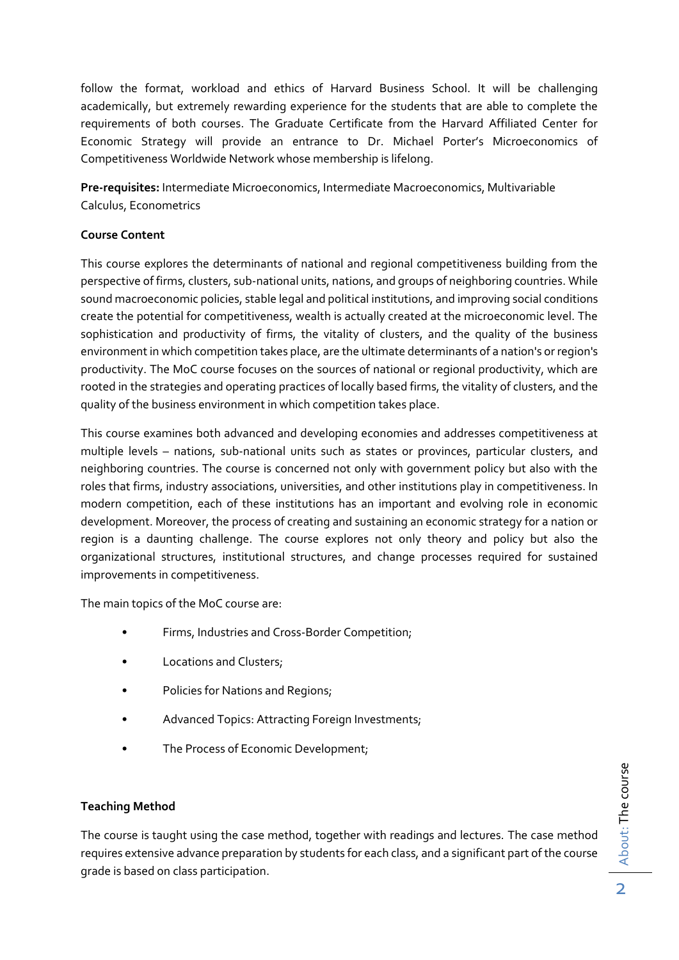follow the format, workload and ethics of Harvard Business School. It will be challenging academically, but extremely rewarding experience for the students that are able to complete the requirements of both courses. The Graduate Certificate from the Harvard Affiliated Center for Economic Strategy will provide an entrance to Dr. Michael Porter's Microeconomics of Competitiveness Worldwide Network whose membership is lifelong.

**Pre-requisites:** Intermediate Microeconomics, Intermediate Macroeconomics, Multivariable Calculus, Econometrics

#### **Course Content**

This course explores the determinants of national and regional competitiveness building from the perspective of firms, clusters, sub-national units, nations, and groups of neighboring countries. While sound macroeconomic policies, stable legal and political institutions, and improving social conditions create the potential for competitiveness, wealth is actually created at the microeconomic level. The sophistication and productivity of firms, the vitality of clusters, and the quality of the business environment in which competition takes place, are the ultimate determinants of a nation's or region's productivity. The MoC course focuses on the sources of national or regional productivity, which are rooted in the strategies and operating practices of locally based firms, the vitality of clusters, and the quality of the business environment in which competition takes place.

This course examines both advanced and developing economies and addresses competitiveness at multiple levels – nations, sub-national units such as states or provinces, particular clusters, and neighboring countries. The course is concerned not only with government policy but also with the roles that firms, industry associations, universities, and other institutions play in competitiveness. In modern competition, each of these institutions has an important and evolving role in economic development. Moreover, the process of creating and sustaining an economic strategy for a nation or region is a daunting challenge. The course explores not only theory and policy but also the organizational structures, institutional structures, and change processes required for sustained improvements in competitiveness.

The main topics of the MoC course are:

- Firms, Industries and Cross-Border Competition;
- Locations and Clusters;
- Policies for Nations and Regions;
- Advanced Topics: Attracting Foreign Investments;
- The Process of Economic Development;

#### **Teaching Method**

The course is taught using the case method, together with readings and lectures. The case method requires extensive advance preparation by students for each class, and a significant part of the course grade is based on class participation.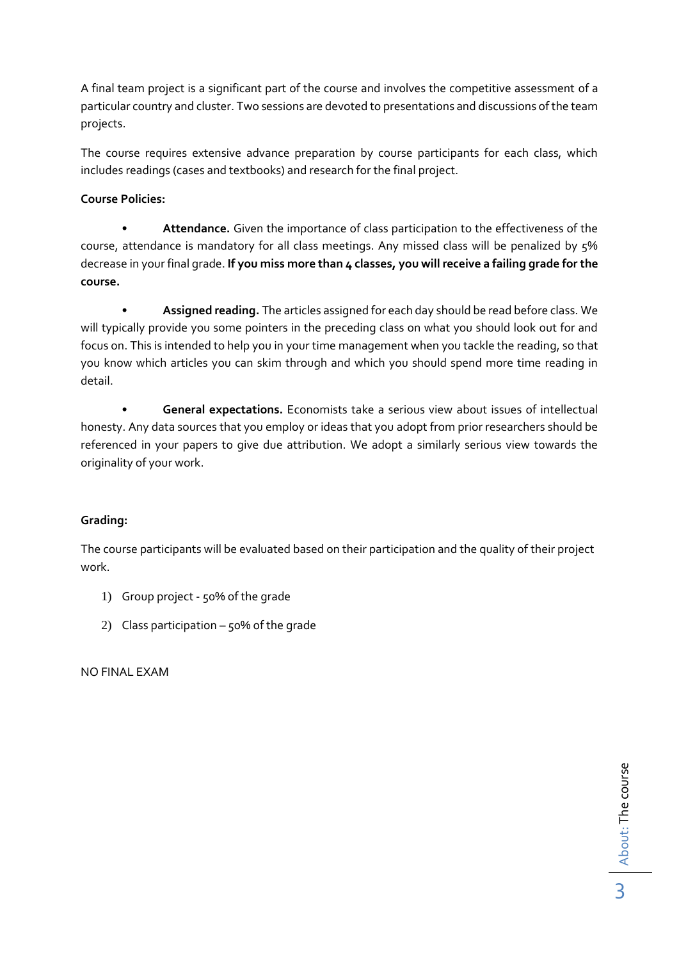A final team project is a significant part of the course and involves the competitive assessment of a particular country and cluster. Two sessions are devoted to presentations and discussions of the team projects.

The course requires extensive advance preparation by course participants for each class, which includes readings (cases and textbooks) and research for the final project.

### **Course Policies:**

• **Attendance.** Given the importance of class participation to the effectiveness of the course, attendance is mandatory for all class meetings. Any missed class will be penalized by 5% decrease in your final grade. **If you miss more than 4 classes, you will receive a failing grade for the course.** 

• **Assigned reading.** The articles assigned for each day should be read before class. We will typically provide you some pointers in the preceding class on what you should look out for and focus on. This is intended to help you in your time management when you tackle the reading, so that you know which articles you can skim through and which you should spend more time reading in detail.

• **General expectations.** Economists take a serious view about issues of intellectual honesty. Any data sources that you employ or ideas that you adopt from prior researchers should be referenced in your papers to give due attribution. We adopt a similarly serious view towards the originality of your work.

### **Grading:**

The course participants will be evaluated based on their participation and the quality of their project work.

- 1) Group project 50% of the grade
- 2) Class participation  $-50\%$  of the grade

NO FINAL EXAM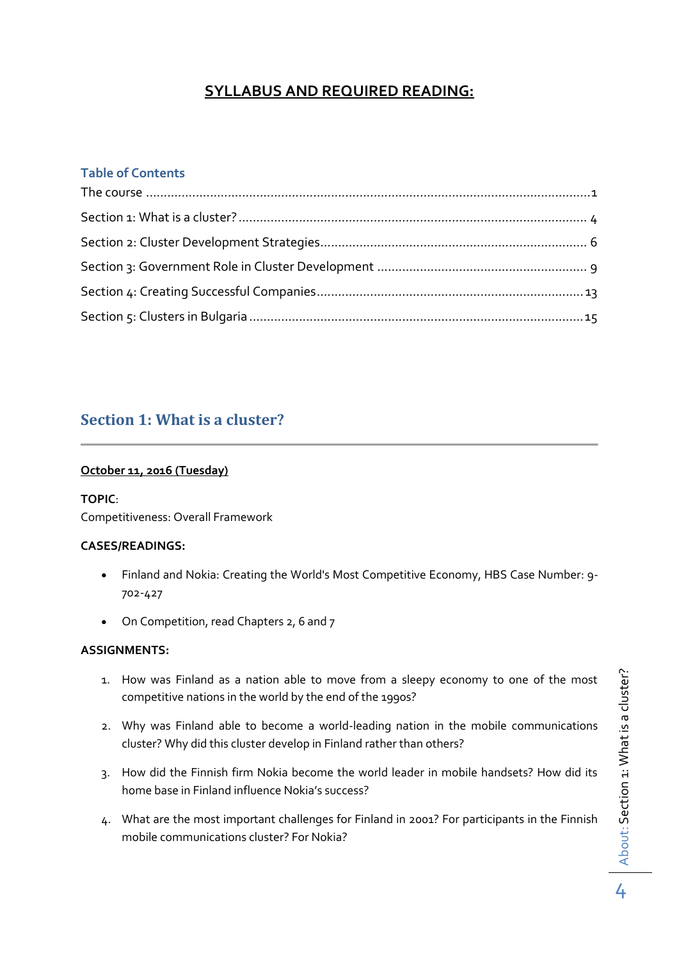## **SYLLABUS AND REQUIRED READING:**

### **Table of Contents**

## <span id="page-3-0"></span>**Section 1: What is a cluster?**

#### **October 11, 2016 (Tuesday)**

#### **TOPIC**:

Competitiveness: Overall Framework

#### **CASES/READINGS:**

- Finland and Nokia: Creating the World's Most Competitive Economy, HBS Case Number: 9- 702-427
- On Competition, read Chapters 2, 6 and 7

- 1. How was Finland as a nation able to move from a sleepy economy to one of the most competitive nations in the world by the end of the 1990s?
- 2. Why was Finland able to become a world-leading nation in the mobile communications cluster? Why did this cluster develop in Finland rather than others?
- 3. How did the Finnish firm Nokia become the world leader in mobile handsets? How did its home base in Finland influence Nokia's success?
- 4. What are the most important challenges for Finland in 2001? For participants in the Finnish mobile communications cluster? For Nokia?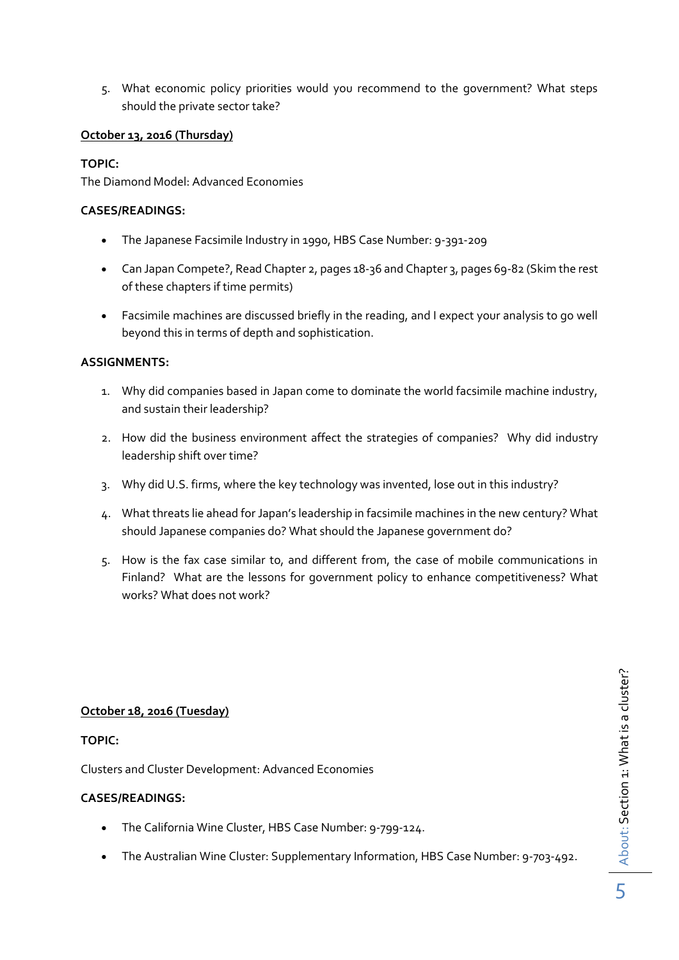5. What economic policy priorities would you recommend to the government? What steps should the private sector take?

#### **October 13, 2016 (Thursday)**

#### **TOPIC:**

The Diamond Model: Advanced Economies

#### **CASES/READINGS:**

- The Japanese Facsimile Industry in 1990, HBS Case Number: 9-391-209
- Can Japan Compete?, Read Chapter 2, pages 18-36 and Chapter 3, pages 69-82 (Skim the rest of these chapters if time permits)
- Facsimile machines are discussed briefly in the reading, and I expect your analysis to go well beyond this in terms of depth and sophistication.

#### **ASSIGNMENTS:**

- 1. Why did companies based in Japan come to dominate the world facsimile machine industry, and sustain their leadership?
- 2. How did the business environment affect the strategies of companies? Why did industry leadership shift over time?
- 3. Why did U.S. firms, where the key technology was invented, lose out in this industry?
- 4. What threats lie ahead for Japan's leadership in facsimile machines in the new century? What should Japanese companies do? What should the Japanese government do?
- 5. How is the fax case similar to, and different from, the case of mobile communications in Finland? What are the lessons for government policy to enhance competitiveness? What works? What does not work?

#### **October 18, 2016 (Tuesday)**

#### **TOPIC:**

Clusters and Cluster Development: Advanced Economies

#### **CASES/READINGS:**

- The California Wine Cluster, HBS Case Number: 9-799-124.
- The Australian Wine Cluster: Supplementary Information, HBS Case Number: 9-703-492.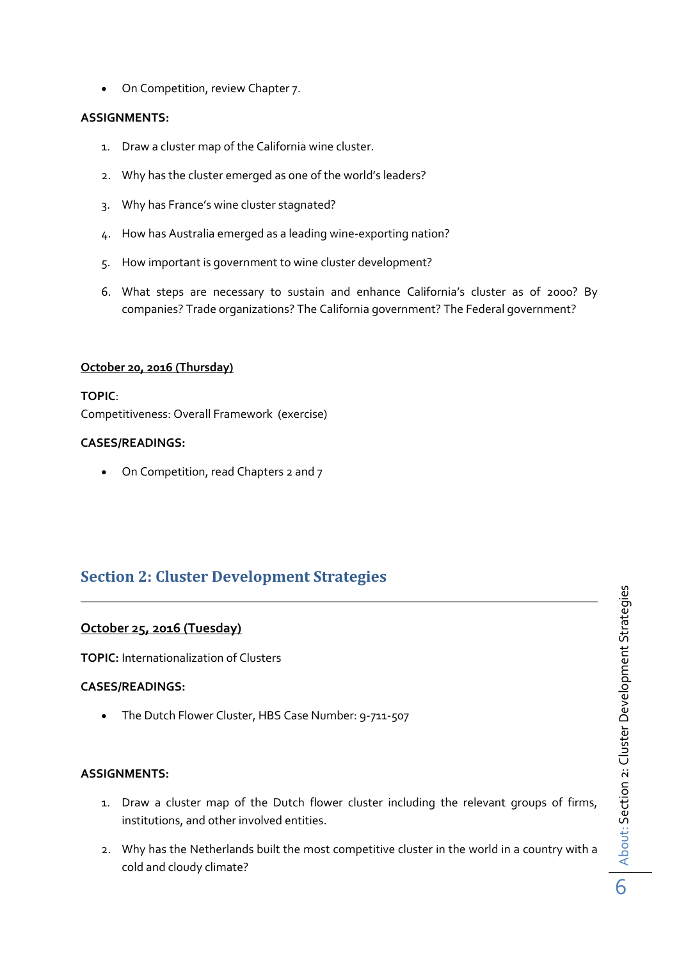On Competition, review Chapter 7.

#### **ASSIGNMENTS:**

- 1. Draw a cluster map of the California wine cluster.
- 2. Why has the cluster emerged as one of the world's leaders?
- 3. Why has France's wine cluster stagnated?
- 4. How has Australia emerged as a leading wine-exporting nation?
- 5. How important is government to wine cluster development?
- 6. What steps are necessary to sustain and enhance California's cluster as of 2000? By companies? Trade organizations? The California government? The Federal government?

#### **October 20, 2016 (Thursday)**

**TOPIC**: Competitiveness: Overall Framework (exercise)

#### **CASES/READINGS:**

• On Competition, read Chapters 2 and 7

## <span id="page-5-0"></span>**Section 2: Cluster Development Strategies**

#### **October 25, 2016 (Tuesday)**

**TOPIC:** Internationalization of Clusters

#### **CASES/READINGS:**

The Dutch Flower Cluster, HBS Case Number: 9-711-507

- 1. Draw a cluster map of the Dutch flower cluster including the relevant groups of firms, institutions, and other involved entities.
- 2. Why has the Netherlands built the most competitive cluster in the world in a country with a cold and cloudy climate?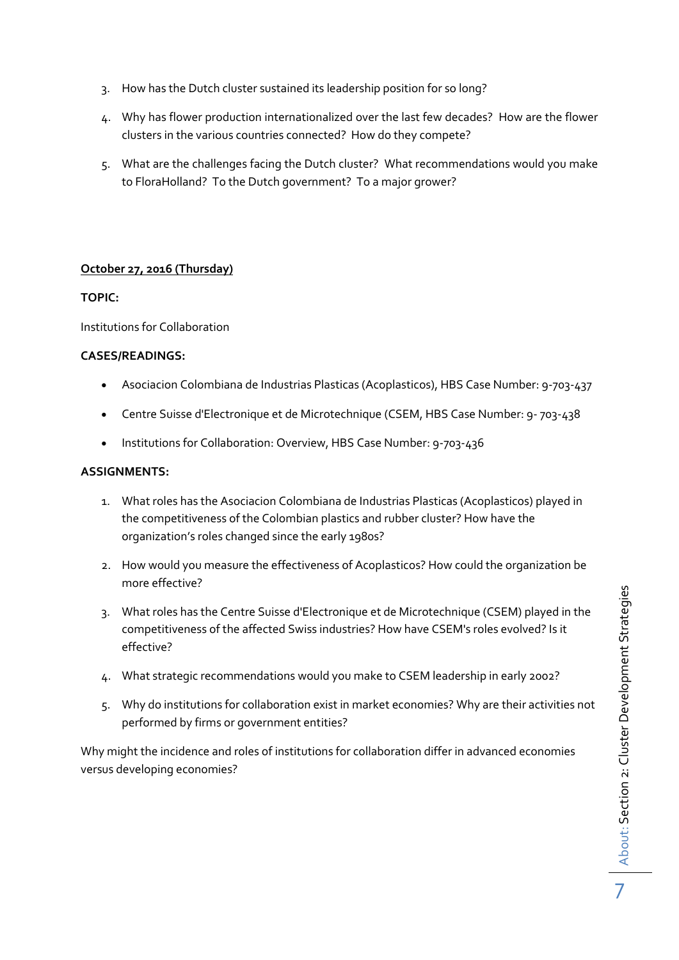- 3. How has the Dutch cluster sustained its leadership position for so long?
- 4. Why has flower production internationalized over the last few decades? How are the flower clusters in the various countries connected? How do they compete?
- 5. What are the challenges facing the Dutch cluster? What recommendations would you make to FloraHolland? To the Dutch government? To a major grower?

#### **October 27, 2016 (Thursday)**

#### **TOPIC:**

Institutions for Collaboration

#### **CASES/READINGS:**

- Asociacion Colombiana de Industrias Plasticas (Acoplasticos), HBS Case Number: 9-703-437
- Centre Suisse d'Electronique et de Microtechnique (CSEM, HBS Case Number: 9- 703-438
- Institutions for Collaboration: Overview, HBS Case Number: 9-703-436

#### **ASSIGNMENTS:**

- 1. What roles has the Asociacion Colombiana de Industrias Plasticas (Acoplasticos) played in the competitiveness of the Colombian plastics and rubber cluster? How have the organization's roles changed since the early 1980s?
- 2. How would you measure the effectiveness of Acoplasticos? How could the organization be more effective?
- 3. What roles has the Centre Suisse d'Electronique et de Microtechnique (CSEM) played in the competitiveness of the affected Swiss industries? How have CSEM's roles evolved? Is it effective?
- 4. What strategic recommendations would you make to CSEM leadership in early 2002?
- 5. Why do institutions for collaboration exist in market economies? Why are their activities not performed by firms or government entities?

Why might the incidence and roles of institutions for collaboration differ in advanced economies versus developing economies?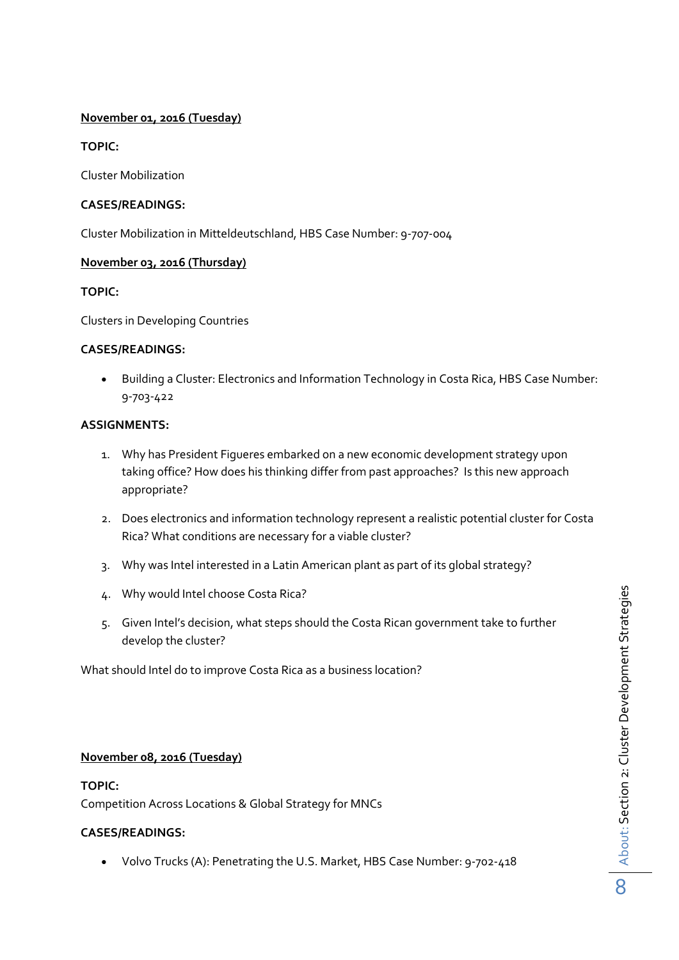#### **November 01, 2016 (Tuesday)**

**TOPIC:**

Cluster Mobilization

#### **CASES/READINGS:**

Cluster Mobilization in Mitteldeutschland, HBS Case Number: 9-707-004

#### **November 03, 2016 (Thursday)**

#### **TOPIC:**

Clusters in Developing Countries

#### **CASES/READINGS:**

 Building a Cluster: Electronics and Information Technology in Costa Rica, HBS Case Number: 9-703-422

#### **ASSIGNMENTS:**

- 1. Why has President Figueres embarked on a new economic development strategy upon taking office? How does his thinking differ from past approaches? Is this new approach appropriate?
- 2. Does electronics and information technology represent a realistic potential cluster for Costa Rica? What conditions are necessary for a viable cluster?
- 3. Why was Intel interested in a Latin American plant as part of its global strategy?
- 4. Why would Intel choose Costa Rica?
- 5. Given Intel's decision, what steps should the Costa Rican government take to further develop the cluster?

What should Intel do to improve Costa Rica as a business location?

#### **November 08, 2016 (Tuesday)**

#### **TOPIC:**

Competition Across Locations & Global Strategy for MNCs

#### **CASES/READINGS:**

Volvo Trucks (A): Penetrating the U.S. Market, HBS Case Number: 9-702-418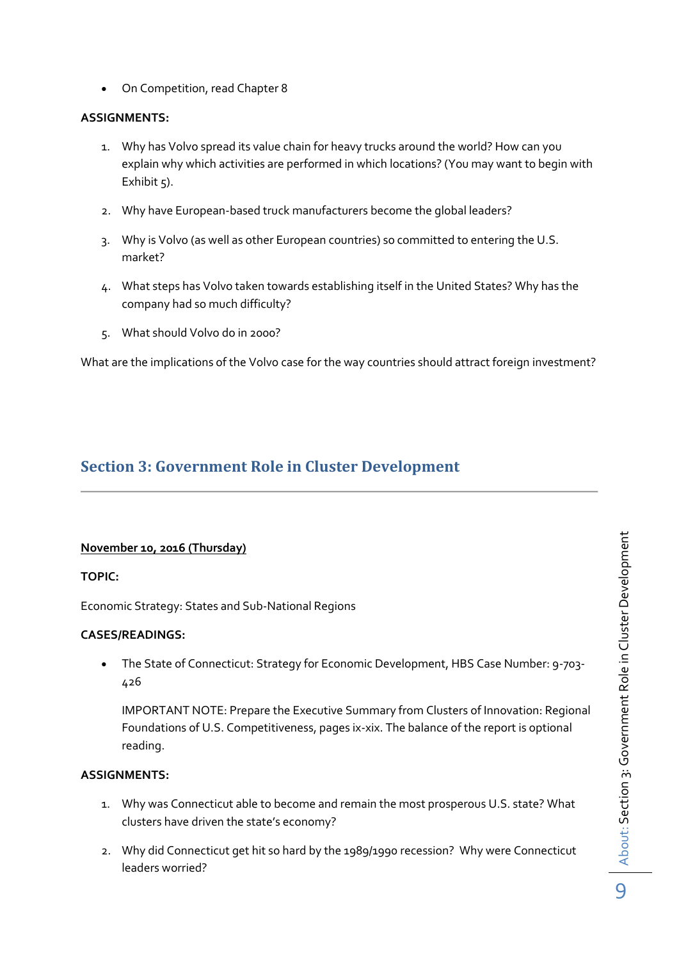On Competition, read Chapter 8

#### **ASSIGNMENTS:**

- 1. Why has Volvo spread its value chain for heavy trucks around the world? How can you explain why which activities are performed in which locations? (You may want to begin with Exhibit  $5$ ).
- 2. Why have European-based truck manufacturers become the global leaders?
- 3. Why is Volvo (as well as other European countries) so committed to entering the U.S. market?
- 4. What steps has Volvo taken towards establishing itself in the United States? Why has the company had so much difficulty?
- 5. What should Volvo do in 2000?

What are the implications of the Volvo case for the way countries should attract foreign investment?

## <span id="page-8-0"></span>**Section 3: Government Role in Cluster Development**

#### **November 10, 2016 (Thursday)**

#### **TOPIC:**

Economic Strategy: States and Sub-National Regions

#### **CASES/READINGS:**

 The State of Connecticut: Strategy for Economic Development, HBS Case Number: 9-703- 426

IMPORTANT NOTE: Prepare the Executive Summary from Clusters of Innovation: Regional Foundations of U.S. Competitiveness, pages ix-xix. The balance of the report is optional reading.

- 1. Why was Connecticut able to become and remain the most prosperous U.S. state? What clusters have driven the state's economy?
- 2. Why did Connecticut get hit so hard by the 1989/1990 recession? Why were Connecticut leaders worried?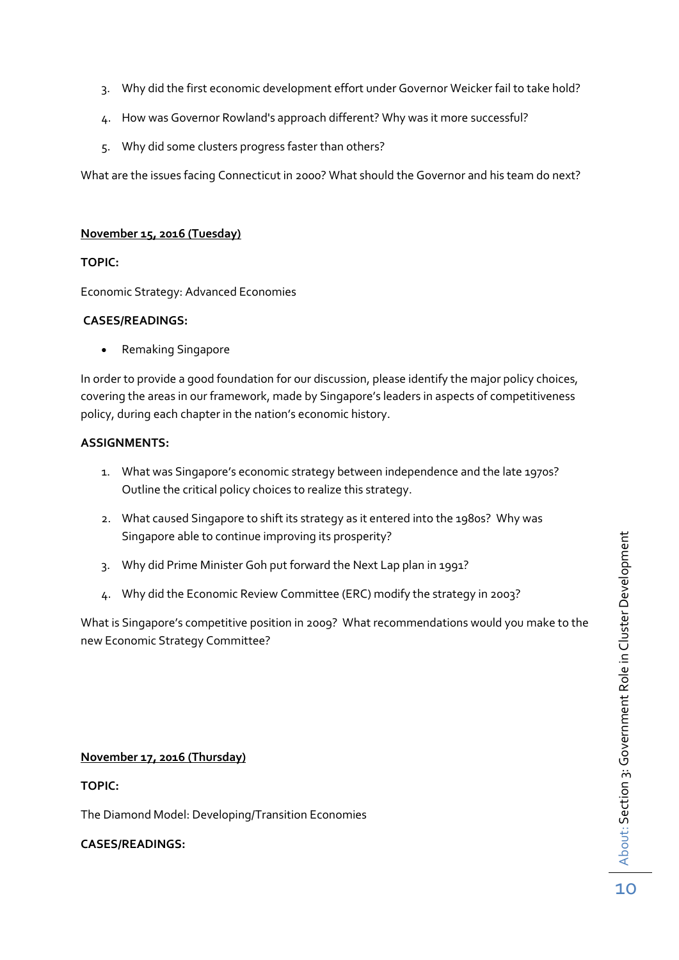- 3. Why did the first economic development effort under Governor Weicker fail to take hold?
- 4. How was Governor Rowland's approach different? Why was it more successful?
- 5. Why did some clusters progress faster than others?

What are the issues facing Connecticut in 2000? What should the Governor and his team do next?

#### **November 15, 2016 (Tuesday)**

#### **TOPIC:**

Economic Strategy: Advanced Economies

#### **CASES/READINGS:**

• Remaking Singapore

In order to provide a good foundation for our discussion, please identify the major policy choices, covering the areas in our framework, made by Singapore's leaders in aspects of competitiveness policy, during each chapter in the nation's economic history.

#### **ASSIGNMENTS:**

- 1. What was Singapore's economic strategy between independence and the late 1970s? Outline the critical policy choices to realize this strategy.
- 2. What caused Singapore to shift its strategy as it entered into the 1980s? Why was Singapore able to continue improving its prosperity?
- 3. Why did Prime Minister Goh put forward the Next Lap plan in 1991?
- 4. Why did the Economic Review Committee (ERC) modify the strategy in 2003?

What is Singapore's competitive position in 2009? What recommendations would you make to the new Economic Strategy Committee?

#### **November 17, 2016 (Thursday)**

#### **TOPIC:**

The Diamond Model: Developing/Transition Economies

#### **CASES/READINGS:**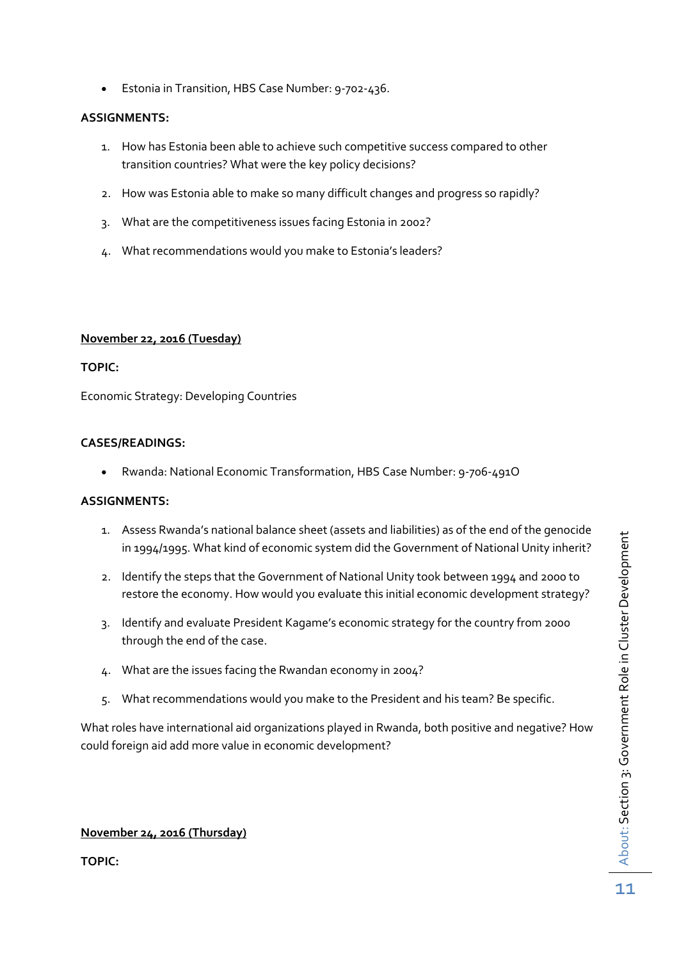Estonia in Transition, HBS Case Number: 9-702-436.

#### **ASSIGNMENTS:**

- 1. How has Estonia been able to achieve such competitive success compared to other transition countries? What were the key policy decisions?
- 2. How was Estonia able to make so many difficult changes and progress so rapidly?
- 3. What are the competitiveness issues facing Estonia in 2002?
- 4. What recommendations would you make to Estonia's leaders?

#### **November 22, 2016 (Tuesday)**

#### **TOPIC:**

Economic Strategy: Developing Countries

#### **CASES/READINGS:**

Rwanda: National Economic Transformation, HBS Case Number: 9-706-491O

#### **ASSIGNMENTS:**

- 1. Assess Rwanda's national balance sheet (assets and liabilities) as of the end of the genocide in 1994/1995. What kind of economic system did the Government of National Unity inherit?
- 2. Identify the steps that the Government of National Unity took between 1994 and 2000 to restore the economy. How would you evaluate this initial economic development strategy?
- 3. Identify and evaluate President Kagame's economic strategy for the country from 2000 through the end of the case.
- 4. What are the issues facing the Rwandan economy in 2004?
- 5. What recommendations would you make to the President and his team? Be specific.

What roles have international aid organizations played in Rwanda, both positive and negative? How could foreign aid add more value in economic development?

#### **November 24, 2016 (Thursday)**

**TOPIC:**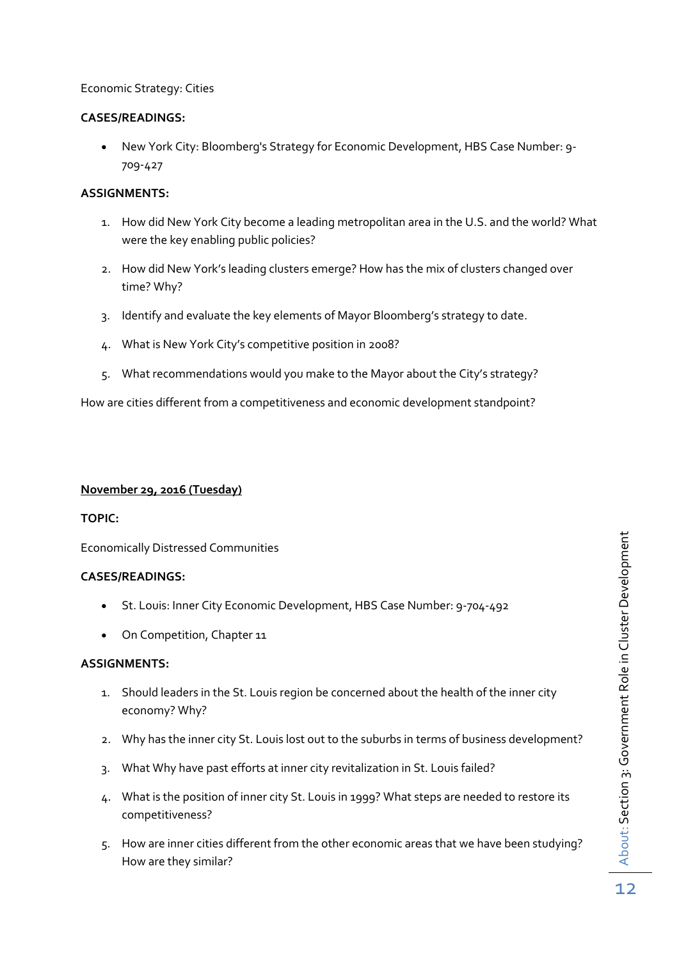#### Economic Strategy: Cities

#### **CASES/READINGS:**

 New York City: Bloomberg's Strategy for Economic Development, HBS Case Number: 9- 709-427

#### **ASSIGNMENTS:**

- 1. How did New York City become a leading metropolitan area in the U.S. and the world? What were the key enabling public policies?
- 2. How did New York's leading clusters emerge? How has the mix of clusters changed over time? Why?
- 3. Identify and evaluate the key elements of Mayor Bloomberg's strategy to date.
- 4. What is New York City's competitive position in 2008?
- 5. What recommendations would you make to the Mayor about the City's strategy?

How are cities different from a competitiveness and economic development standpoint?

#### **November 29, 2016 (Tuesday)**

#### **TOPIC:**

Economically Distressed Communities

#### **CASES/READINGS:**

- St. Louis: Inner City Economic Development, HBS Case Number: 9-704-492
- On Competition, Chapter 11

- 1. Should leaders in the St. Louis region be concerned about the health of the inner city economy? Why?
- 2. Why has the inner city St. Louis lost out to the suburbs in terms of business development?
- 3. What Why have past efforts at inner city revitalization in St. Louis failed?
- 4. What is the position of inner city St. Louis in 1999? What steps are needed to restore its competitiveness?
- 5. How are inner cities different from the other economic areas that we have been studying? How are they similar?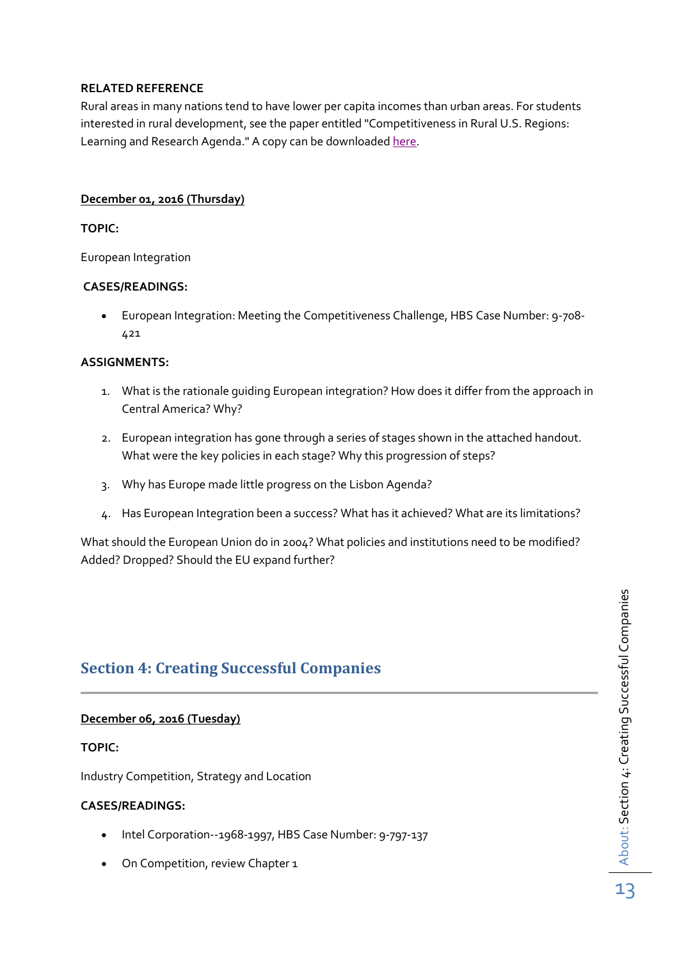#### **RELATED REFERENCE**

Rural areas in many nations tend to have lower per capita incomes than urban areas. For students interested in rural development, see the paper entitled "Competitiveness in Rural U.S. Regions: Learning and Research Agenda." A copy can be downloade[d here.](http://www.isc.hbs.edu/Documents/ced/EDA_RuralReport_20040621.pdf)

#### **December 01, 2016 (Thursday)**

#### **TOPIC:**

European Integration

#### **CASES/READINGS:**

 European Integration: Meeting the Competitiveness Challenge, HBS Case Number: 9-708- 421

#### **ASSIGNMENTS:**

- 1. What is the rationale guiding European integration? How does it differ from the approach in Central America? Why?
- 2. European integration has gone through a series of stages shown in the attached handout. What were the key policies in each stage? Why this progression of steps?
- 3. Why has Europe made little progress on the Lisbon Agenda?
- 4. Has European Integration been a success? What has it achieved? What are its limitations?

What should the European Union do in 2004? What policies and institutions need to be modified? Added? Dropped? Should the EU expand further?

## <span id="page-12-0"></span>**Section 4: Creating Successful Companies**

#### **December 06, 2016 (Tuesday)**

#### **TOPIC:**

Industry Competition, Strategy and Location

#### **CASES/READINGS:**

- Intel Corporation--1968-1997, HBS Case Number: 9-797-137
- On Competition, review Chapter 1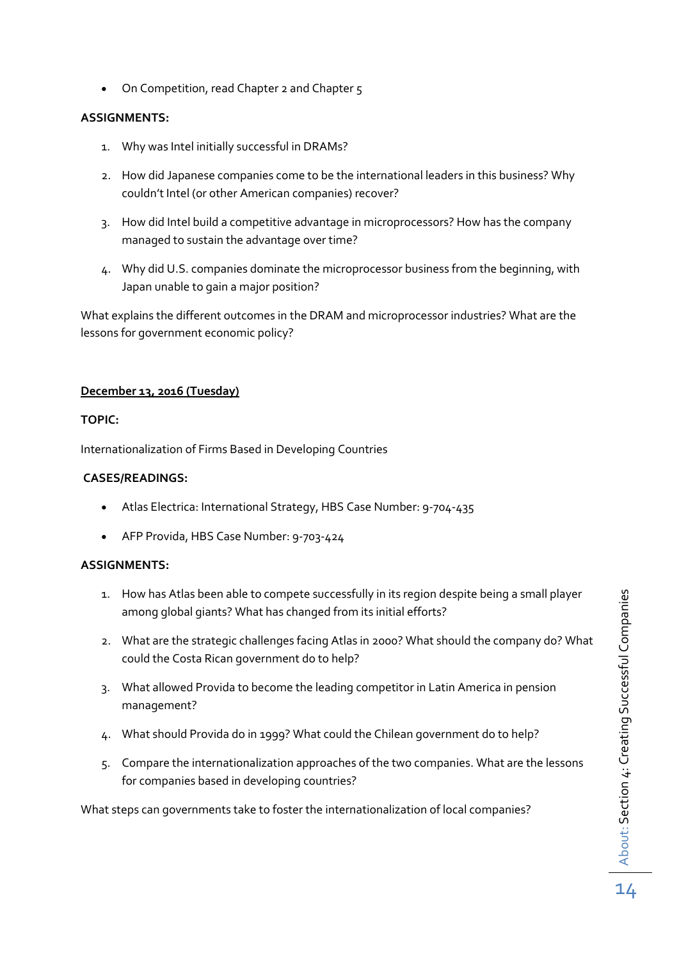• On Competition, read Chapter 2 and Chapter 5

#### **ASSIGNMENTS:**

- 1. Why was Intel initially successful in DRAMs?
- 2. How did Japanese companies come to be the international leaders in this business? Why couldn't Intel (or other American companies) recover?
- 3. How did Intel build a competitive advantage in microprocessors? How has the company managed to sustain the advantage over time?
- 4. Why did U.S. companies dominate the microprocessor business from the beginning, with Japan unable to gain a major position?

What explains the different outcomes in the DRAM and microprocessor industries? What are the lessons for government economic policy?

#### **December 13, 2016 (Tuesday)**

#### **TOPIC:**

Internationalization of Firms Based in Developing Countries

#### **CASES/READINGS:**

- Atlas Electrica: International Strategy, HBS Case Number: 9-704-435
- AFP Provida, HBS Case Number: 9-703-424

#### **ASSIGNMENTS:**

- 1. How has Atlas been able to compete successfully in its region despite being a small player among global giants? What has changed from its initial efforts?
- 2. What are the strategic challenges facing Atlas in 2000? What should the company do? What could the Costa Rican government do to help?
- 3. What allowed Provida to become the leading competitor in Latin America in pension management?
- 4. What should Provida do in 1999? What could the Chilean government do to help?
- 5. Compare the internationalization approaches of the two companies. What are the lessons for companies based in developing countries?

What steps can governments take to foster the internationalization of local companies?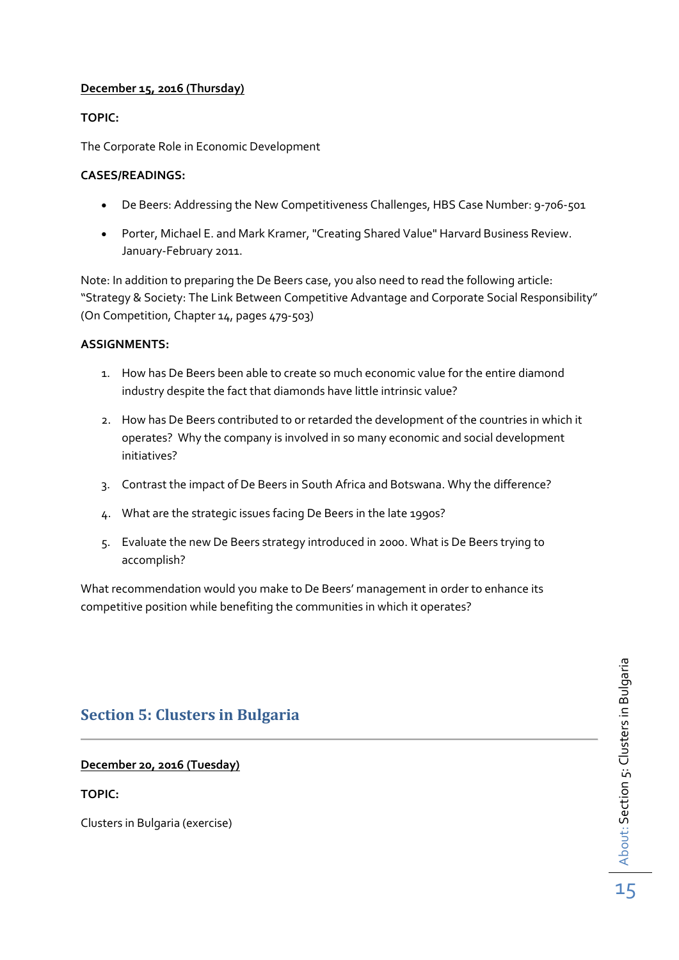#### **December 15, 2016 (Thursday)**

#### **TOPIC:**

The Corporate Role in Economic Development

#### **CASES/READINGS:**

- De Beers: Addressing the New Competitiveness Challenges, HBS Case Number: 9-706-501
- Porter, Michael E. and Mark Kramer, "Creating Shared Value" Harvard Business Review. January-February 2011.

Note: In addition to preparing the De Beers case, you also need to read the following article: "Strategy & Society: The Link Between Competitive Advantage and Corporate Social Responsibility" (On Competition, Chapter 14, pages 479-503)

#### **ASSIGNMENTS:**

- 1. How has De Beers been able to create so much economic value for the entire diamond industry despite the fact that diamonds have little intrinsic value?
- 2. How has De Beers contributed to or retarded the development of the countries in which it operates? Why the company is involved in so many economic and social development initiatives?
- 3. Contrast the impact of De Beers in South Africa and Botswana. Why the difference?
- 4. What are the strategic issues facing De Beers in the late 1990s?
- 5. Evaluate the new De Beers strategy introduced in 2000. What is De Beers trying to accomplish?

What recommendation would you make to De Beers' management in order to enhance its competitive position while benefiting the communities in which it operates?

## <span id="page-14-0"></span>**Section 5: Clusters in Bulgaria**

#### **December 20, 2016 (Tuesday)**

#### **TOPIC:**

Clusters in Bulgaria (exercise)